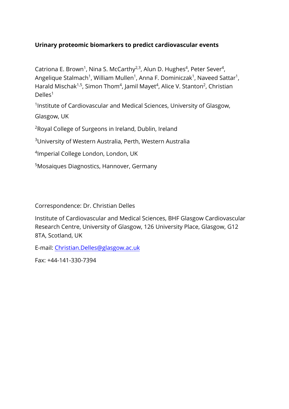#### **Urinary proteomic biomarkers to predict cardiovascular events**

Catriona E. Brown<sup>1</sup>, Nina S. McCarthy<sup>2,3</sup>, Alun D. Hughes<sup>4</sup>, Peter Sever<sup>4</sup>, Angelique Stalmach<sup>1</sup>, William Mullen<sup>1</sup>, Anna F. Dominiczak<sup>1</sup>, Naveed Sattar<sup>1</sup>, Harald Mischak<sup>1,5</sup>, Simon Thom<sup>4</sup>, Jamil Mayet<sup>4</sup>, Alice V. Stanton<sup>2</sup>, Christian Delles<sup>1</sup>

<sup>1</sup>Institute of Cardiovascular and Medical Sciences, University of Glasgow,

Glasgow, UK

<sup>2</sup>Royal College of Surgeons in Ireland, Dublin, Ireland

<sup>3</sup>University of Western Australia, Perth, Western Australia

4 Imperial College London, London, UK

<sup>5</sup>Mosaiques Diagnostics, Hannover, Germany

Correspondence: Dr. Christian Delles

Institute of Cardiovascular and Medical Sciences, BHF Glasgow Cardiovascular Research Centre, University of Glasgow, 126 University Place, Glasgow, G12 8TA, S[cotland, UK](mailto:Christian.Delles@glasgow.ac.uk) 

E-mail: Christian.Delles@glasgow.ac.uk

Fax: +44-141-330-7394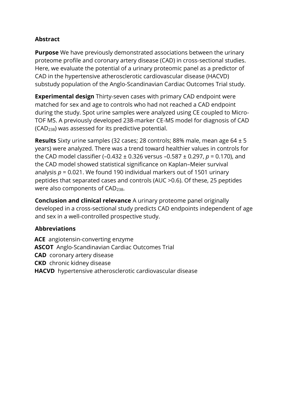# **Abstract**

**Purpose** We have previously demonstrated associations between the urinary proteome profile and coronary artery disease (CAD) in cross‐sectional studies. Here, we evaluate the potential of a urinary proteomic panel as a predictor of CAD in the hypertensive atherosclerotic cardiovascular disease (HACVD) substudy population of the Anglo‐Scandinavian Cardiac Outcomes Trial study.

**Experimental design** Thirty‐seven cases with primary CAD endpoint were matched for sex and age to controls who had not reached a CAD endpoint during the study. Spot urine samples were analyzed using CE coupled to Micro‐ TOF MS. A previously developed 238‐marker CE‐MS model for diagnosis of CAD (CAD238) was assessed for its predictive potential.

**Results** Sixty urine samples (32 cases; 28 controls; 88% male, mean age 64 ± 5 years) were analyzed. There was a trend toward healthier values in controls for the CAD model classifier (–0.432 ± 0.326 versus –0.587 ± 0.297, *p* = 0.170), and the CAD model showed statistical significance on Kaplan–Meier survival analysis *p* = 0.021. We found 190 individual markers out of 1501 urinary peptides that separated cases and controls (AUC >0.6). Of these, 25 peptides were also components of CAD238.

**Conclusion and clinical relevance** A urinary proteome panel originally developed in a cross‐sectional study predicts CAD endpoints independent of age and sex in a well‐controlled prospective study.

# **Abbreviations**

**ACE** angiotensin‐converting enzyme **ASCOT** Anglo‐Scandinavian Cardiac Outcomes Trial **CAD** coronary artery disease **CKD** chronic kidney disease **HACVD** hypertensive atherosclerotic cardiovascular disease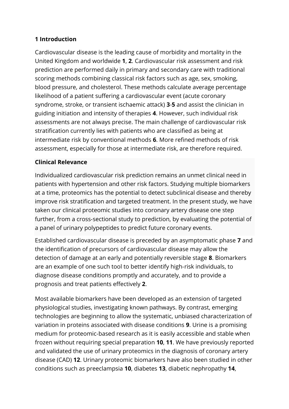#### **1 Introduction**

Cardiovascular disease is the leading cause of morbidity and mortality in the United Kingdom and worldwide **1**, **2**. Cardiovascular risk assessment and risk prediction are performed daily in primary and secondary care with traditional scoring methods combining classical risk factors such as age, sex, smoking, blood pressure, and cholesterol. These methods calculate average percentage likelihood of a patient suffering a cardiovascular event (acute coronary syndrome, stroke, or transient ischaemic attack) **3**-**5** and assist the clinician in guiding initiation and intensity of therapies **4**. However, such individual risk assessments are not always precise. The main challenge of cardiovascular risk stratification currently lies with patients who are classified as being at intermediate risk by conventional methods **6**. More refined methods of risk assessment, especially for those at intermediate risk, are therefore required.

#### **Clinical Relevance**

Individualized cardiovascular risk prediction remains an unmet clinical need in patients with hypertension and other risk factors. Studying multiple biomarkers at a time, proteomics has the potential to detect subclinical disease and thereby improve risk stratification and targeted treatment. In the present study, we have taken our clinical proteomic studies into coronary artery disease one step further, from a cross-sectional study to prediction, by evaluating the potential of a panel of urinary polypeptides to predict future coronary events.

Established cardiovascular disease is preceded by an asymptomatic phase **7** and the identification of precursors of cardiovascular disease may allow the detection of damage at an early and potentially reversible stage **8**. Biomarkers are an example of one such tool to better identify high‐risk individuals, to diagnose disease conditions promptly and accurately, and to provide a prognosis and treat patients effectively **2**.

Most available biomarkers have been developed as an extension of targeted physiological studies, investigating known pathways. By contrast, emerging technologies are beginning to allow the systematic, unbiased characterization of variation in proteins associated with disease conditions **9**. Urine is a promising medium for proteomic‐based research as it is easily accessible and stable when frozen without requiring special preparation **10**, **11**. We have previously reported and validated the use of urinary proteomics in the diagnosis of coronary artery disease (CAD) **12**. Urinary proteomic biomarkers have also been studied in other conditions such as preeclampsia **10**, diabetes **13**, diabetic nephropathy **14**,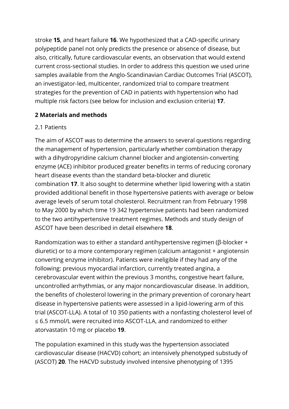stroke **15**, and heart failure **16**. We hypothesized that a CAD‐specific urinary polypeptide panel not only predicts the presence or absence of disease, but also, critically, future cardiovascular events, an observation that would extend current cross‐sectional studies. In order to address this question we used urine samples available from the Anglo‐Scandinavian Cardiac Outcomes Trial (ASCOT), an investigator‐led, multicenter, randomized trial to compare treatment strategies for the prevention of CAD in patients with hypertension who had multiple risk factors (see below for inclusion and exclusion criteria) **17**.

# **2 Materials and methods**

#### 2.1 Patients

The aim of ASCOT was to determine the answers to several questions regarding the management of hypertension, particularly whether combination therapy with a dihydropyridine calcium channel blocker and angiotensin‐converting enzyme (ACE) inhibitor produced greater benefits in terms of reducing coronary heart disease events than the standard beta‐blocker and diuretic combination **17**. It also sought to determine whether lipid lowering with a statin provided additional benefit in those hypertensive patients with average or below average levels of serum total cholesterol. Recruitment ran from February 1998 to May 2000 by which time 19 342 hypertensive patients had been randomized to the two antihypertensive treatment regimes. Methods and study design of ASCOT have been described in detail elsewhere **18**.

Randomization was to either a standard antihypertensive regimen (β‐blocker + diuretic) or to a more contemporary regimen (calcium antagonist + angiotensin converting enzyme inhibitor). Patients were ineligible if they had any of the following: previous myocardial infarction, currently treated angina, a cerebrovascular event within the previous 3 months, congestive heart failure, uncontrolled arrhythmias, or any major noncardiovascular disease. In addition, the benefits of cholesterol lowering in the primary prevention of coronary heart disease in hypertensive patients were assessed in a lipid‐lowering arm of this trial (ASCOT‐LLA). A total of 10 350 patients with a nonfasting cholesterol level of ≤ 6.5 mmol/L were recruited into ASCOT‐LLA, and randomized to either atorvastatin 10 mg or placebo **19**.

The population examined in this study was the hypertension associated cardiovascular disease (HACVD) cohort; an intensively phenotyped substudy of (ASCOT) **20**. The HACVD substudy involved intensive phenotyping of 1395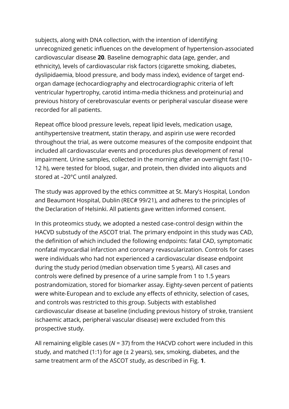subjects, along with DNA collection, with the intention of identifying unrecognized genetic influences on the development of hypertension‐associated cardiovascular disease **20**. Baseline demographic data (age, gender, and ethnicity), levels of cardiovascular risk factors (cigarette smoking, diabetes, dyslipidaemia, blood pressure, and body mass index), evidence of target end‐ organ damage (echocardiography and electrocardiographic criteria of left ventricular hypertrophy, carotid intima‐media thickness and proteinuria) and previous history of cerebrovascular events or peripheral vascular disease were recorded for all patients.

Repeat office blood pressure levels, repeat lipid levels, medication usage, antihypertensive treatment, statin therapy, and aspirin use were recorded throughout the trial, as were outcome measures of the composite endpoint that included all cardiovascular events and procedures plus development of renal impairment. Urine samples, collected in the morning after an overnight fast (10– 12 h), were tested for blood, sugar, and protein, then divided into aliquots and stored at –20°C until analyzed.

The study was approved by the ethics committee at St. Mary's Hospital, London and Beaumont Hospital, Dublin (REC# 99/21), and adheres to the principles of the Declaration of Helsinki. All patients gave written informed consent.

In this proteomics study, we adopted a nested case‐control design within the HACVD substudy of the ASCOT trial. The primary endpoint in this study was CAD, the definition of which included the following endpoints: fatal CAD, symptomatic nonfatal myocardial infarction and coronary revascularization. Controls for cases were individuals who had not experienced a cardiovascular disease endpoint during the study period (median observation time 5 years). All cases and controls were defined by presence of a urine sample from 1 to 1.5 years postrandomization, stored for biomarker assay. Eighty‐seven percent of patients were white-European and to exclude any effects of ethnicity, selection of cases, and controls was restricted to this group. Subjects with established cardiovascular disease at baseline (including previous history of stroke, transient ischaemic attack, peripheral vascular disease) were excluded from this prospective study.

All remaining eligible cases (*N* = 37) from the HACVD cohort were included in this study, and matched (1:1) for age (± 2 years), sex, smoking, diabetes, and the same treatment arm of the ASCOT study, as described in Fig. **1**.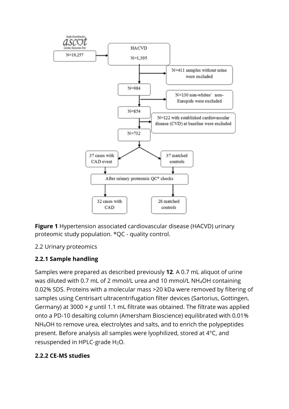

**Figure 1** Hypertension associated cardiovascular disease (HACVD) urinary proteomic study population. \*QC ‐ quality control.

# 2.2 Urinary proteomics

# **2.2.1 Sample handling**

Samples were prepared as described previously **12**. A 0.7 mL aliquot of urine was diluted with 0.7 mL of 2 mmol/L urea and 10 mmol/L NH4OH containing 0.02% SDS. Proteins with a molecular mass >20 kDa were removed by filtering of samples using Centrisart ultracentrifugation filter devices (Sartorius, Gottingen, Germany) at 3000 × *g* until 1.1 mL filtrate was obtained. The filtrate was applied onto a PD‐10 desalting column (Amersham Bioscience) equilibrated with 0.01% NH4OH to remove urea, electrolytes and salts, and to enrich the polypeptides present. Before analysis all samples were lyophilized, stored at 4°C, and resuspended in HPLC‐grade H2O.

# **2.2.2 CE**‐**MS studies**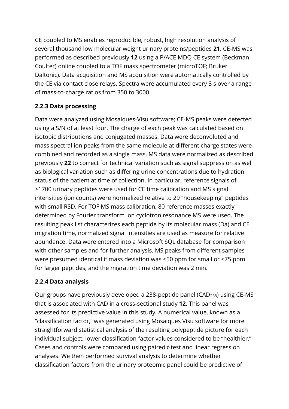CE coupled to MS enables reproducible, robust, high resolution analysis of several thousand low molecular weight urinary proteins/peptides **21**. CE‐MS was performed as described previously **12** using a P/ACE MDQ CE system (Beckman Coulter) online coupled to a TOF mass spectrometer (microTOF; Bruker Daltonic). Data acquisition and MS acquisition were automatically controlled by the CE via contact close relays. Spectra were accumulated every 3 s over a range of mass‐to‐charge ratios from 350 to 3000.

# **2.2.3 Data processing**

Data were analyzed using Mosaiques‐Visu software; CE‐MS peaks were detected using a S/N of at least four. The charge of each peak was calculated based on isotopic distributions and conjugated masses. Data were deconvoluted and mass spectral ion peaks from the same molecule at different charge states were combined and recorded as a single mass. MS data were normalized as described previously **22** to correct for technical variation such as signal suppression as well as biological variation such as differing urine concentrations due to hydration status of the patient at time of collection. In particular, reference signals of >1700 urinary peptides were used for CE time calibration and MS signal intensities (ion counts) were normalized relative to 29 "housekeeping" peptides with small RSD. For TOF MS mass calibration, 80 reference masses exactly determined by Fourier transform ion cyclotron resonance MS were used. The resulting peak list characterizes each peptide by its molecular mass (Da) and CE migration time, normalized signal intensities are used as measure for relative abundance. Data were entered into a Microsoft SQL database for comparison with other samples and for further analysis. MS peaks from different samples were presumed identical if mass deviation was ≤50 ppm for small or ≤75 ppm for larger peptides, and the migration time deviation was 2 min.

# **2.2.4 Data analysis**

Our groups have previously developed a 238-peptide panel (CAD<sub>238</sub>) using CE-MS that is associated with CAD in a cross‐sectional study **12**. This panel was assessed for its predictive value in this study. A numerical value, known as a "classification factor," was generated using Mosaiques Visu software for more straightforward statistical analysis of the resulting polypeptide picture for each individual subject; lower classification factor values considered to be "healthier." Cases and controls were compared using paired *t*‐test and linear regression analyses. We then performed survival analysis to determine whether classification factors from the urinary proteomic panel could be predictive of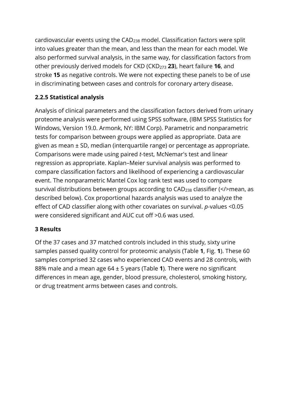cardiovascular events using the CAD<sup>238</sup> model. Classification factors were split into values greater than the mean, and less than the mean for each model. We also performed survival analysis, in the same way, for classification factors from other previously derived models for CKD (CKD<sup>273</sup> **23**), heart failure **16**, and stroke **15** as negative controls. We were not expecting these panels to be of use in discriminating between cases and controls for coronary artery disease.

# **2.2.5 Statistical analysis**

Analysis of clinical parameters and the classification factors derived from urinary proteome analysis were performed using SPSS software, (IBM SPSS Statistics for Windows, Version 19.0. Armonk, NY: IBM Corp). Parametric and nonparametric tests for comparison between groups were applied as appropriate. Data are given as mean ± SD, median (interquartile range) or percentage as appropriate. Comparisons were made using paired *t*‐test, McNemar's test and linear regression as appropriate. Kaplan–Meier survival analysis was performed to compare classification factors and likelihood of experiencing a cardiovascular event. The nonparametric Mantel Cox log rank test was used to compare survival distributions between groups according to CAD<sub>238</sub> classifier (</>mean, as described below). Cox proportional hazards analysis was used to analyze the effect of CAD classifier along with other covariates on survival. *p*-values <0.05 were considered significant and AUC cut off >0.6 was used.

#### **3 Results**

Of the 37 cases and 37 matched controls included in this study, sixty urine samples passed quality control for proteomic analysis (Table **1**, Fig. **1**). These 60 samples comprised 32 cases who experienced CAD events and 28 controls, with 88% male and a mean age 64 ± 5 years (Table **1**). There were no significant differences in mean age, gender, blood pressure, cholesterol, smoking history, or drug treatment arms between cases and controls.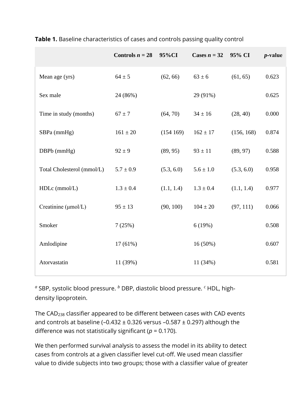|                            | Controls $n = 28$ | 95%CI      | Cases $n = 32$ | 95% CI     | $p$ -value |
|----------------------------|-------------------|------------|----------------|------------|------------|
| Mean age (yrs)             | $64 \pm 5$        | (62, 66)   | $63 \pm 6$     | (61, 65)   | 0.623      |
| Sex male                   | 24 (86%)          |            | 29 (91%)       |            | 0.625      |
| Time in study (months)     | $67 \pm 7$        | (64, 70)   | $34 \pm 16$    | (28, 40)   | 0.000      |
| SBPa (mmHg)                | $161 \pm 20$      | (154169)   | $162 \pm 17$   | (156, 168) | 0.874      |
| DBPb (mmHg)                | $92 \pm 9$        | (89, 95)   | $93 \pm 11$    | (89, 97)   | 0.588      |
| Total Cholesterol (mmol/L) | $5.7 \pm 0.9$     | (5.3, 6.0) | $5.6 \pm 1.0$  | (5.3, 6.0) | 0.958      |
| $HDLc$ (mmol/L)            | $1.3 \pm 0.4$     | (1.1, 1.4) | $1.3 \pm 0.4$  | (1.1, 1.4) | 0.977      |
| Creatinine (µmol/L)        | $95 \pm 13$       | (90, 100)  | $104 \pm 20$   | (97, 111)  | 0.066      |
| Smoker                     | 7(25%)            |            | 6(19%)         |            | 0.508      |
| Amlodipine                 | $17(61\%)$        |            | 16(50%)        |            | 0.607      |
| Atorvastatin               | 11 (39%)          |            | 11 (34%)       |            | 0.581      |

**Table 1.** Baseline characteristics of cases and controls passing quality control

*<sup>a</sup>* SBP, systolic blood pressure. *<sup>b</sup>* DBP, diastolic blood pressure. *<sup>c</sup>* HDL, high‐ density lipoprotein.

The CAD<sup>238</sup> classifier appeared to be different between cases with CAD events and controls at baseline (-0.432  $\pm$  0.326 versus -0.587  $\pm$  0.297) although the difference was not statistically significant (*p* = 0.170).

We then performed survival analysis to assess the model in its ability to detect cases from controls at a given classifier level cut‐off. We used mean classifier value to divide subjects into two groups; those with a classifier value of greater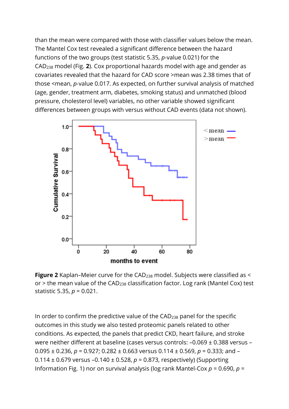than the mean were compared with those with classifier values below the mean. The Mantel Cox test revealed a significant difference between the hazard functions of the two groups (test statistic 5.35, *p*-value 0.021) for the CAD<sup>238</sup> model (Fig. **2**). Cox proportional hazards model with age and gender as covariates revealed that the hazard for CAD score >mean was 2.38 times that of those <mean, *p*-value 0.017. As expected, on further survival analysis of matched (age, gender, treatment arm, diabetes, smoking status) and unmatched (blood pressure, cholesterol level) variables, no other variable showed significant differences between groups with versus without CAD events (data not shown).



**Figure 2** Kaplan-Meier curve for the CAD<sub>238</sub> model. Subjects were classified as < or  $>$  the mean value of the CAD<sub>238</sub> classification factor. Log rank (Mantel Cox) test statistic 5.35, *p* = 0.021.

In order to confirm the predictive value of the CAD<sup>238</sup> panel for the specific outcomes in this study we also tested proteomic panels related to other conditions. As expected, the panels that predict CKD, heart failure, and stroke were neither different at baseline (cases versus controls: –0.069 ± 0.388 versus – 0.095 ± 0.236, *p* = 0.927; 0.282 ± 0.663 versus 0.114 ± 0.569, *p* = 0.333; and – 0.114 ± 0.679 versus –0.140 ± 0.528, *p* = 0.873, respectively) (Supporting Information Fig. 1) nor on survival analysis (log rank Mantel‐Cox *p* = 0.690, *p* =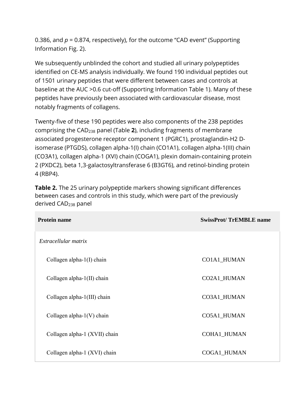0.386, and *p* = 0.874, respectively), for the outcome "CAD event" (Supporting Information Fig. 2).

We subsequently unblinded the cohort and studied all urinary polypeptides identified on CE‐MS analysis individually. We found 190 individual peptides out of 1501 urinary peptides that were different between cases and controls at baseline at the AUC > 0.6 cut-off (Supporting Information Table 1). Many of these peptides have previously been associated with cardiovascular disease, most notably fragments of collagens.

Twenty‐five of these 190 peptides were also components of the 238 peptides comprising the CAD<sup>238</sup> panel (Table **2**), including fragments of membrane associated progesterone receptor component 1 (PGRC1), prostaglandin‐H2 D‐ isomerase (PTGDS), collagen alpha‐1(I) chain (CO1A1), collagen alpha‐1(III) chain (CO3A1), collagen alpha‐1 (XVI) chain (COGA1), plexin domain‐containing protein 2 (PXDC2), beta 1,3‐galactosyltransferase 6 (B3GT6), and retinol‐binding protein 4 (RBP4).

| <b>Protein name</b>           | <b>SwissProt/TrEMBLE name</b> |  |
|-------------------------------|-------------------------------|--|
| Extracellular matrix          |                               |  |
| Collagen alpha- $1(I)$ chain  | CO1A1_HUMAN                   |  |
| Collagen alpha- $1(II)$ chain | CO2A1_HUMAN                   |  |
| Collagen alpha-1(III) chain   | CO3A1_HUMAN                   |  |
| Collagen alpha- $1(V)$ chain  | CO5A1_HUMAN                   |  |
| Collagen alpha-1 (XVII) chain | <b>COHA1_HUMAN</b>            |  |
| Collagen alpha-1 (XVI) chain  | COGA1_HUMAN                   |  |

**Table 2.** The 25 urinary polypeptide markers showing significant differences between cases and controls in this study, which were part of the previously derived CAD<sup>238</sup> panel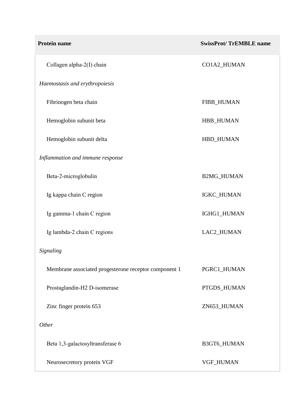| Protein name                                          | <b>SwissProt/TrEMBLE name</b> |
|-------------------------------------------------------|-------------------------------|
| Collagen alpha-2(I) chain                             | CO1A2_HUMAN                   |
| Haemostasis and erythropoiesis                        |                               |
| Fibrinogen beta chain                                 | FIBB_HUMAN                    |
| Hemoglobin subunit beta                               | HBB_HUMAN                     |
| Hemoglobin subunit delta                              | HBD_HUMAN                     |
| Inflammation and immune response                      |                               |
| Beta-2-microglobulin                                  | <b>B2MG_HUMAN</b>             |
| Ig kappa chain C region                               | IGKC_HUMAN                    |
| Ig gamma-1 chain C region                             | IGHG1_HUMAN                   |
| Ig lambda-2 chain C regions                           | LAC2_HUMAN                    |
| Signaling                                             |                               |
| Membrane associated progesterone receptor component 1 | PGRC1_HUMAN                   |
| Prostaglandin-H2 D-isomerase                          | PTGDS_HUMAN                   |
| Zinc finger protein 653                               | ZN653_HUMAN                   |
| Other                                                 |                               |
| Beta 1,3-galactosyltransferase 6                      | B3GT6_HUMAN                   |
| Neurosecretory protein VGF                            | VGF_HUMAN                     |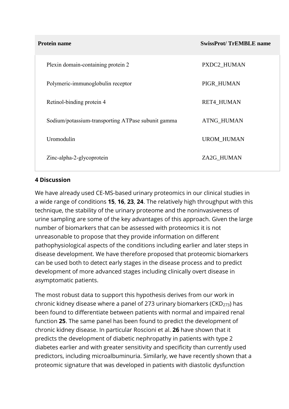**SwissProt/ TrEMBLE name** 

| Plexin domain-containing protein 2                 | PXDC2 HUMAN       |
|----------------------------------------------------|-------------------|
| Polymeric-immunoglobulin receptor                  | PIGR_HUMAN        |
| Retinol-binding protein 4                          | <b>RET4_HUMAN</b> |
| Sodium/potassium-transporting ATPase subunit gamma | <b>ATNG_HUMAN</b> |
| Uromodulin                                         | <b>UROM HUMAN</b> |
| Zinc-alpha-2-glycoprotein                          | ZA2G HUMAN        |

#### **4 Discussion**

We have already used CE‐MS‐based urinary proteomics in our clinical studies in a wide range of conditions **15**, **16**, **23**, **24**. The relatively high throughput with this technique, the stability of the urinary proteome and the noninvasiveness of urine sampling are some of the key advantages of this approach. Given the large number of biomarkers that can be assessed with proteomics it is not unreasonable to propose that they provide information on different pathophysiological aspects of the conditions including earlier and later steps in disease development. We have therefore proposed that proteomic biomarkers can be used both to detect early stages in the disease process and to predict development of more advanced stages including clinically overt disease in asymptomatic patients.

The most robust data to support this hypothesis derives from our work in chronic kidney disease where a panel of 273 urinary biomarkers ( $CKD<sub>273</sub>$ ) has been found to differentiate between patients with normal and impaired renal function **25**. The same panel has been found to predict the development of chronic kidney disease. In particular Roscioni et al. **26** have shown that it predicts the development of diabetic nephropathy in patients with type 2 diabetes earlier and with greater sensitivity and specificity than currently used predictors, including microalbuminuria. Similarly, we have recently shown that a proteomic signature that was developed in patients with diastolic dysfunction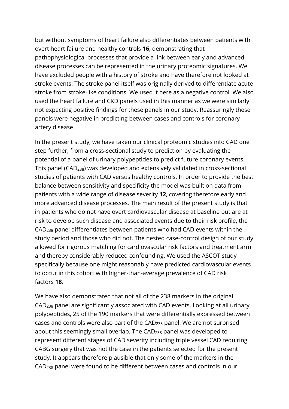but without symptoms of heart failure also differentiates between patients with overt heart failure and healthy controls **16**, demonstrating that pathophysiological processes that provide a link between early and advanced disease processes can be represented in the urinary proteomic signatures. We have excluded people with a history of stroke and have therefore not looked at stroke events. The stroke panel itself was originally derived to differentiate acute stroke from stroke‐like conditions. We used it here as a negative control. We also used the heart failure and CKD panels used in this manner as we were similarly not expecting positive findings for these panels in our study. Reassuringly these panels were negative in predicting between cases and controls for coronary artery disease.

In the present study, we have taken our clinical proteomic studies into CAD one step further, from a cross‐sectional study to prediction by evaluating the potential of a panel of urinary polypeptides to predict future coronary events. This panel (CAD238) was developed and extensively validated in cross‐sectional studies of patients with CAD versus healthy controls. In order to provide the best balance between sensitivity and specificity the model was built on data from patients with a wide range of disease severity **12**, covering therefore early and more advanced disease processes. The main result of the present study is that in patients who do not have overt cardiovascular disease at baseline but are at risk to develop such disease and associated events due to their risk profile, the CAD<sup>238</sup> panel differentiates between patients who had CAD events within the study period and those who did not. The nested case‐control design of our study allowed for rigorous matching for cardiovascular risk factors and treatment arm and thereby considerably reduced confounding. We used the ASCOT study specifically because one might reasonably have predicted cardiovascular events to occur in this cohort with higher‐than‐average prevalence of CAD risk factors **18**.

We have also demonstrated that not all of the 238 markers in the original CAD<sup>238</sup> panel are significantly associated with CAD events. Looking at all urinary polypeptides, 25 of the 190 markers that were differentially expressed between cases and controls were also part of the CAD<sup>238</sup> panel. We are not surprised about this seemingly small overlap. The CAD<sub>238</sub> panel was developed to represent different stages of CAD severity including triple vessel CAD requiring CABG surgery that was not the case in the patients selected for the present study. It appears therefore plausible that only some of the markers in the CAD<sup>238</sup> panel were found to be different between cases and controls in our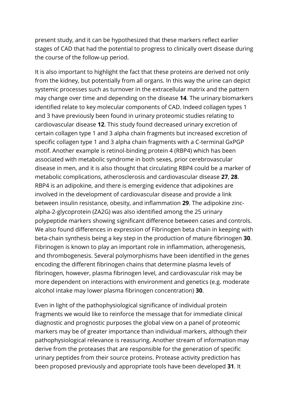present study, and it can be hypothesized that these markers reflect earlier stages of CAD that had the potential to progress to clinically overt disease during the course of the follow‐up period.

It is also important to highlight the fact that these proteins are derived not only from the kidney, but potentially from all organs. In this way the urine can depict systemic processes such as turnover in the extracellular matrix and the pattern may change over time and depending on the disease **14**. The urinary biomarkers identified relate to key molecular components of CAD. Indeed collagen types 1 and 3 have previously been found in urinary proteomic studies relating to cardiovascular disease **12**. This study found decreased urinary excretion of certain collagen type 1 and 3 alpha chain fragments but increased excretion of specific collagen type 1 and 3 alpha chain fragments with a C‐terminal GxPGP motif. Another example is retinol‐binding protein 4 (RBP4) which has been associated with metabolic syndrome in both sexes, prior cerebrovascular disease in men, and it is also thought that circulating RBP4 could be a marker of metabolic complications, atherosclerosis and cardiovascular disease **27**, **28**. RBP4 is an adipokine, and there is emerging evidence that adipokines are involved in the development of cardiovascular disease and provide a link between insulin resistance, obesity, and inflammation **29**. The adipokine zinc‐ alpha‐2‐glycoprotein (ZA2G) was also identified among the 25 urinary polypeptide markers showing significant difference between cases and controls. We also found differences in expression of Fibrinogen beta chain in keeping with beta‐chain synthesis being a key step in the production of mature fibrinogen **30**. Fibrinogen is known to play an important role in inflammation, atherogenesis, and thrombogenesis. Several polymorphisms have been identified in the genes encoding the different fibrinogen chains that determine plasma levels of fibrinogen, however, plasma fibrinogen level, and cardiovascular risk may be more dependent on interactions with environment and genetics (e.g. moderate alcohol intake may lower plasma fibrinogen concentration) **30**.

Even in light of the pathophysiological significance of individual protein fragments we would like to reinforce the message that for immediate clinical diagnostic and prognostic purposes the global view on a panel of proteomic markers may be of greater importance than individual markers, although their pathophysiological relevance is reassuring. Another stream of information may derive from the proteases that are responsible for the generation of specific urinary peptides from their source proteins. Protease activity prediction has been proposed previously and appropriate tools have been developed **31**. It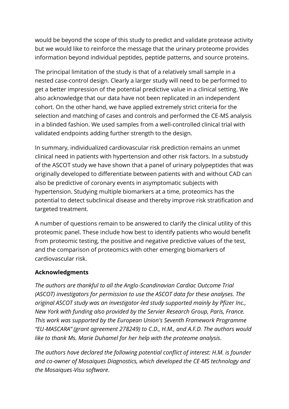would be beyond the scope of this study to predict and validate protease activity but we would like to reinforce the message that the urinary proteome provides information beyond individual peptides, peptide patterns, and source proteins.

The principal limitation of the study is that of a relatively small sample in a nested case‐control design. Clearly a larger study will need to be performed to get a better impression of the potential predictive value in a clinical setting. We also acknowledge that our data have not been replicated in an independent cohort. On the other hand, we have applied extremely strict criteria for the selection and matching of cases and controls and performed the CE‐MS analysis in a blinded fashion. We used samples from a well‐controlled clinical trial with validated endpoints adding further strength to the design.

In summary, individualized cardiovascular risk prediction remains an unmet clinical need in patients with hypertension and other risk factors. In a substudy of the ASCOT study we have shown that a panel of urinary polypeptides that was originally developed to differentiate between patients with and without CAD can also be predictive of coronary events in asymptomatic subjects with hypertension. Studying multiple biomarkers at a time, proteomics has the potential to detect subclinical disease and thereby improve risk stratification and targeted treatment.

A number of questions remain to be answered to clarify the clinical utility of this proteomic panel. These include how best to identify patients who would benefit from proteomic testing, the positive and negative predictive values of the test, and the comparison of proteomics with other emerging biomarkers of cardiovascular risk.

#### **Acknowledgments**

*The authors are thankful to all the Anglo*‐*Scandinavian Cardiac Outcome Trial (ASCOT) investigators for permission to use the ASCOT data for these analyses. The original ASCOT study was an investigator*‐*led study supported mainly by Pfizer Inc., New York with funding also provided by the Servier Research Group, Paris, France. This work was supported by the European Union's Seventh Framework Programme "EU*‐*MASCARA" (grant agreement 278249) to C.D., H.M., and A.F.D. The authors would like to thank Ms. Marie Duhamel for her help with the proteome analysis*.

*The authors have declared the following potential conflict of interest: H.M. is founder and co*‐*owner of Mosaiques Diagnostics, which developed the CE*‐*MS technology and the Mosaiques*‐*Visu software*.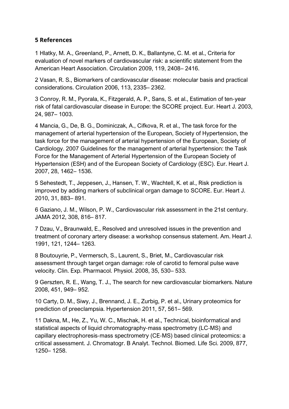#### **5 References**

1 Hlatky, M. A., Greenland, P., Arnett, D. K., Ballantyne, C. M. et al., Criteria for evaluation of novel markers of cardiovascular risk: a scientific statement from the American Heart Association. Circulation 2009, 119, 2408– 2416.

2 Vasan, R. S., Biomarkers of cardiovascular disease: molecular basis and practical considerations. Circulation 2006, 113, 2335– 2362.

3 Conroy, R. M., Pyorala, K., Fitzgerald, A. P., Sans, S. et al., Estimation of ten‐year risk of fatal cardiovascular disease in Europe: the SCORE project. Eur. Heart J. 2003, 24, 987– 1003.

4 Mancia, G., De, B. G., Dominiczak, A., Cifkova, R. et al., The task force for the management of arterial hypertension of the European, Society of Hypertension, the task force for the management of arterial hypertension of the European, Society of Cardiology. 2007 Guidelines for the management of arterial hypertension: the Task Force for the Management of Arterial Hypertension of the European Society of Hypertension (ESH) and of the European Society of Cardiology (ESC). Eur. Heart J. 2007, 28, 1462– 1536.

5 Sehestedt, T., Jeppesen, J., Hansen, T. W., Wachtell, K. et al., Risk prediction is improved by adding markers of subclinical organ damage to SCORE. Eur. Heart J. 2010, 31, 883– 891.

6 Gaziano, J. M., Wilson, P. W., Cardiovascular risk assessment in the 21st century. JAMA 2012, 308, 816– 817.

7 Dzau, V., Braunwald, E., Resolved and unresolved issues in the prevention and treatment of coronary artery disease: a workshop consensus statement. Am. Heart J. 1991, 121, 1244– 1263.

8 Boutouyrie, P., Vermersch, S., Laurent, S., Briet, M., Cardiovascular risk assessment through target organ damage: role of carotid to femoral pulse wave velocity. Clin. Exp. Pharmacol. Physiol. 2008, 35, 530– 533.

9 Gerszten, R. E., Wang, T. J., The search for new cardiovascular biomarkers. Nature 2008, 451, 949– 952.

10 Carty, D. M., Siwy, J., Brennand, J. E., Zurbig, P. et al., Urinary proteomics for prediction of preeclampsia. Hypertension 2011, 57, 561– 569.

11 Dakna, M., He, Z., Yu, W. C., Mischak, H. et al., Technical, bioinformatical and statistical aspects of liquid chromatography‐mass spectrometry (LC‐MS) and capillary electrophoresis‐mass spectrometry (CE‐MS) based clinical proteomics: a critical assessment. J. Chromatogr. B Analyt. Technol. Biomed. Life Sci. 2009, 877, 1250– 1258.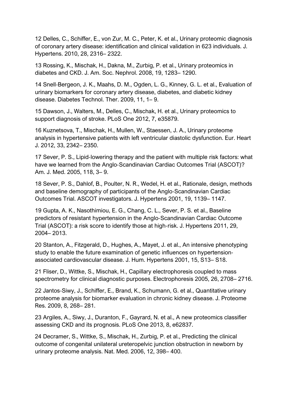12 Delles, C., Schiffer, E., von Zur, M. C., Peter, K. et al., Urinary proteomic diagnosis of coronary artery disease: identification and clinical validation in 623 individuals. J. Hypertens. 2010, 28, 2316– 2322.

13 Rossing, K., Mischak, H., Dakna, M., Zurbig, P. et al., Urinary proteomics in diabetes and CKD. J. Am. Soc. Nephrol. 2008, 19, 1283– 1290.

14 Snell‐Bergeon, J. K., Maahs, D. M., Ogden, L. G., Kinney, G. L. et al., Evaluation of urinary biomarkers for coronary artery disease, diabetes, and diabetic kidney disease. Diabetes Technol. Ther. 2009, 11, 1– 9.

15 Dawson, J., Walters, M., Delles, C., Mischak, H. et al., Urinary proteomics to support diagnosis of stroke. PLoS One 2012, 7, e35879.

16 Kuznetsova, T., Mischak, H., Mullen, W., Staessen, J. A., Urinary proteome analysis in hypertensive patients with left ventricular diastolic dysfunction. Eur. Heart J. 2012, 33, 2342– 2350.

17 Sever, P. S., Lipid-lowering therapy and the patient with multiple risk factors: what have we learned from the Anglo‐Scandinavian Cardiac Outcomes Trial (ASCOT)? Am. J. Med. 2005, 118, 3– 9.

18 Sever, P. S., Dahlof, B., Poulter, N. R., Wedel, H. et al., Rationale, design, methods and baseline demography of participants of the Anglo‐Scandinavian Cardiac Outcomes Trial. ASCOT investigators. J. Hypertens 2001, 19, 1139– 1147.

19 Gupta, A. K., Nasothimiou, E. G., Chang, C. L., Sever, P. S. et al., Baseline predictors of resistant hypertension in the Anglo‐Scandinavian Cardiac Outcome Trial (ASCOT): a risk score to identify those at high‐risk. J. Hypertens 2011, 29, 2004– 2013.

20 Stanton, A., Fitzgerald, D., Hughes, A., Mayet, J. et al., An intensive phenotyping study to enable the future examination of genetic influences on hypertension‐ associated cardiovascular disease. J. Hum. Hypertens 2001, 15, S13– S18.

21 Fliser, D., Wittke, S., Mischak, H., Capillary electrophoresis coupled to mass spectrometry for clinical diagnostic purposes. Electrophoresis 2005, 26, 2708– 2716.

22 Jantos‐Siwy, J., Schiffer, E., Brand, K., Schumann, G. et al., Quantitative urinary proteome analysis for biomarker evaluation in chronic kidney disease. J. Proteome Res. 2009, 8, 268– 281.

23 Argiles, A., Siwy, J., Duranton, F., Gayrard, N. et al., A new proteomics classifier assessing CKD and its prognosis. PLoS One 2013, 8, e62837.

24 Decramer, S., Wittke, S., Mischak, H., Zurbig, P. et al., Predicting the clinical outcome of congenital unilateral ureteropelvic junction obstruction in newborn by urinary proteome analysis. Nat. Med. 2006, 12, 398– 400.